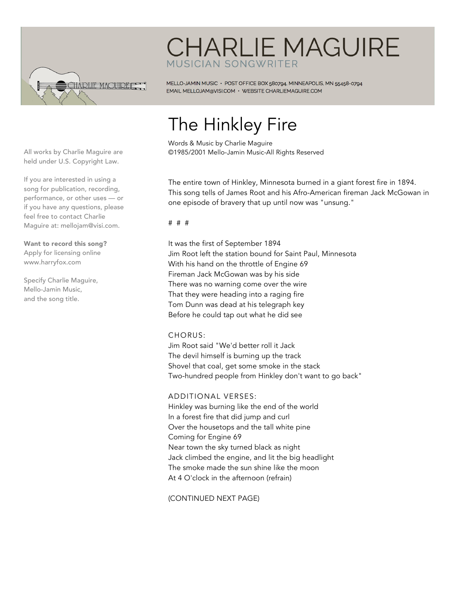

## **CHARLIE MAGUIRE** MUSICIAN SONGWRITER

MELLO-JAMIN MUSIC · POST OFFICE BOX 580794, MINNEAPOLIS, MN 55458-0794 EMAIL MELLOJAM@VISI.COM · WEBSITE CHARLIEMAGUIRE.COM

# The Hinkley Fire

Words & Music by Charlie Maguire ©1985/2001 Mello-Jamin Music-All Rights Reserved

The entire town of Hinkley, Minnesota burned in a giant forest fire in 1894. This song tells of James Root and his Afro-American fireman Jack McGowan in one episode of bravery that up until now was "unsung."

# # #

It was the first of September 1894 Jim Root left the station bound for Saint Paul, Minnesota With his hand on the throttle of Engine 69 Fireman Jack McGowan was by his side There was no warning come over the wire That they were heading into a raging fire Tom Dunn was dead at his telegraph key Before he could tap out what he did see

#### CHORUS:

Jim Root said "We'd better roll it Jack The devil himself is burning up the track Shovel that coal, get some smoke in the stack Two-hundred people from Hinkley don't want to go back"

### ADDITIONAL VERSES:

Hinkley was burning like the end of the world In a forest fire that did jump and curl Over the housetops and the tall white pine Coming for Engine 69 Near town the sky turned black as night Jack climbed the engine, and lit the big headlight The smoke made the sun shine like the moon At 4 O'clock in the afternoon (refrain)

(CONTINUED NEXT PAGE)

All works by Charlie Maguire are held under U.S. Copyright Law.

If you are interested in using a song for publication, recording, performance, or other uses — or if you have any questions, please feel free to contact Charlie Maguire at: mellojam@visi.com.

Want to record this song? Apply for licensing online www.harryfox.com

Specify Charlie Maguire, Mello-Jamin Music, and the song title.